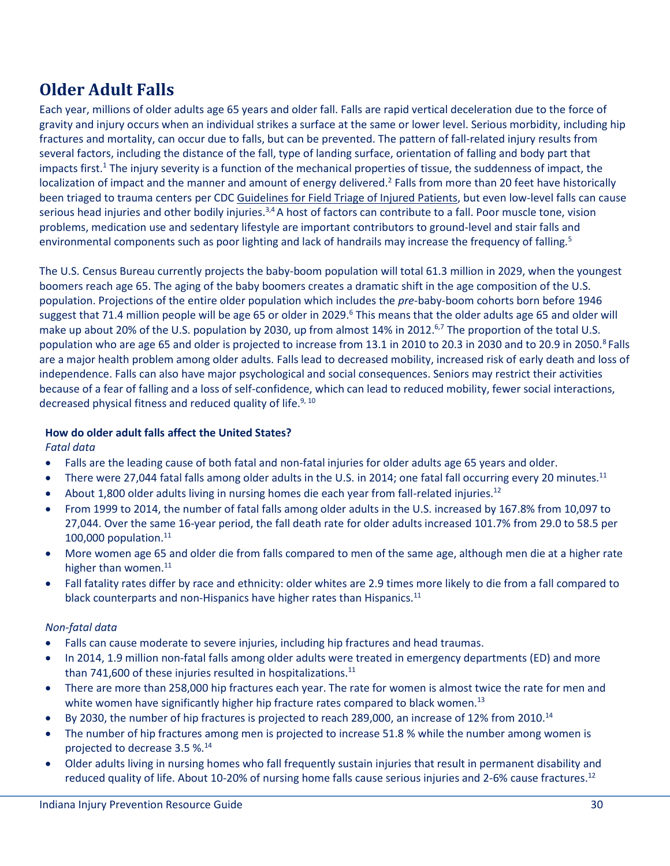# **Older Adult Falls**

Each year, millions of older adults age 65 years and older fall. Falls are rapid vertical deceleration due to the force of gravity and injury occurs when an individual strikes a surface at the same or lower level. Serious morbidity, including hip fractures and mortality, can occur due to falls, but can be prevented. The pattern of fall-related injury results from several factors, including the distance of the fall, type of landing surface, orientation of falling and body part that impacts first.<sup>1</sup> The injury severity is a function of the mechanical properties of tissue, the suddenness of impact, the localization of impact and the manner and amount of energy delivered.<sup>2</sup> Falls from more than 20 feet have historically been triaged to trauma centers per CD[C Guidelines for Field Triage of Injured Patients,](http://www.cdc.gov/mmwr/pdf/rr/rr6101.pdf) but even low-level falls can cause serious head injuries and other bodily injuries. $3,4$  A host of factors can contribute to a fall. Poor muscle tone, vision problems, medication use and sedentary lifestyle are important contributors to ground-level and stair falls and environmental components such as poor lighting and lack of handrails may increase the frequency of falling.<sup>5</sup>

The U.S. Census Bureau currently projects the baby-boom population will total 61.3 million in 2029, when the youngest boomers reach age 65. The aging of the baby boomers creates a dramatic shift in the age composition of the U.S. population. Projections of the entire older population which includes the *pre*-baby-boom cohorts born before 1946 suggest that 71.4 million people will be age 65 or older in 2029.<sup>6</sup> This means that the older adults age 65 and older will make up about 20% of the U.S. population by 2030, up from almost 14% in 2012.<sup>6,7</sup> The proportion of the total U.S. population who are age 65 and older is projected to increase from 13.1 in 2010 to 20.3 in 2030 and to 20.9 in 2050.<sup>8</sup> Falls are a major health problem among older adults. Falls lead to decreased mobility, increased risk of early death and loss of independence. Falls can also have major psychological and social consequences. Seniors may restrict their activities because of a fear of falling and a loss of self-confidence, which can lead to reduced mobility, fewer social interactions, decreased physical fitness and reduced quality of life.<sup>9, 10</sup>

#### **How do older adult falls affect the United States?**  *Fatal data*

- Falls are the leading cause of both fatal and non-fatal injuries for older adults age 65 years and older.
- There were 27,044 fatal falls among older adults in the U.S. in 2014; one fatal fall occurring every 20 minutes.<sup>11</sup>
- About 1,800 older adults living in nursing homes die each year from fall-related injuries.<sup>12</sup>
- From 1999 to 2014, the number of fatal falls among older adults in the U.S. increased by 167.8% from 10,097 to 27,044. Over the same 16-year period, the fall death rate for older adults increased 101.7% from 29.0 to 58.5 per 100,000 population. 11
- More women age 65 and older die from falls compared to men of the same age, although men die at a higher rate higher than women.<sup>11</sup>
- Fall fatality rates differ by race and ethnicity: older whites are 2.9 times more likely to die from a fall compared to black counterparts and non-Hispanics have higher rates than Hispanics.<sup>11</sup>

# *Non-fatal data*

- Falls can cause moderate to severe injuries, including hip fractures and head traumas.
- In 2014, 1.9 million non-fatal falls among older adults were treated in emergency departments (ED) and more than 741,600 of these injuries resulted in hospitalizations. $^{11}$
- There are more than 258,000 hip fractures each year. The rate for women is almost twice the rate for men and white women have significantly higher hip fracture rates compared to black women.<sup>13</sup>
- $\bullet$  By 2030, the number of hip fractures is projected to reach 289,000, an increase of 12% from 2010.<sup>14</sup>
- The number of hip fractures among men is projected to increase 51.8 % while the number among women is projected to decrease 3.5 %.<sup>14</sup>
- Older adults living in nursing homes who fall frequently sustain injuries that result in permanent disability and reduced quality of life. About 10-20% of nursing home falls cause serious injuries and 2-6% cause fractures.<sup>12</sup>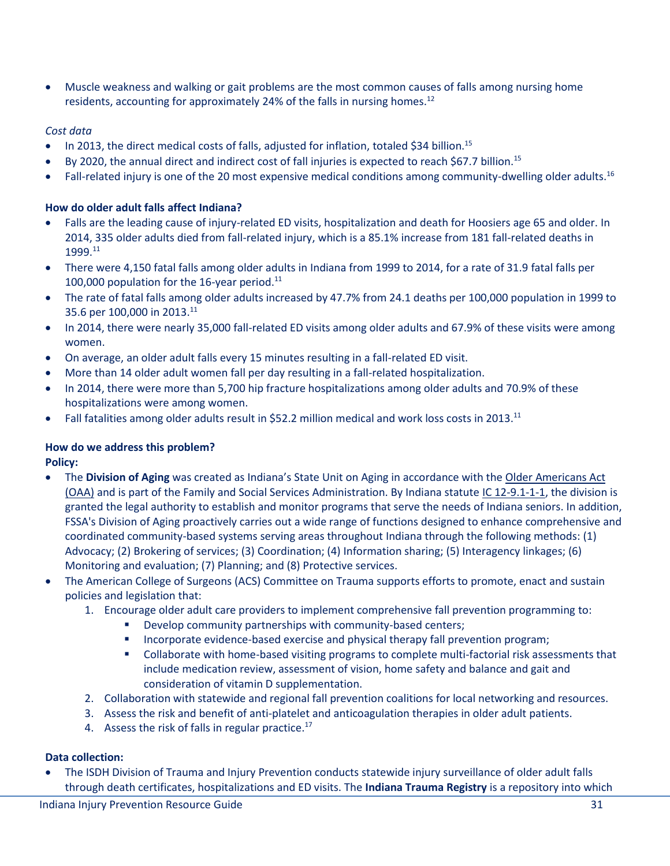Muscle weakness and walking or gait problems are the most common causes of falls among nursing home residents, accounting for approximately 24% of the falls in nursing homes.<sup>12</sup>

# *Cost data*

- In 2013, the direct medical costs of falls, adjusted for inflation, totaled \$34 billion.<sup>15</sup>
- By 2020, the annual direct and indirect cost of fall injuries is expected to reach \$67.7 billion.<sup>15</sup>
- Fall-related injury is one of the 20 most expensive medical conditions among community-dwelling older adults.<sup>16</sup>

# **How do older adult falls affect Indiana?**

- Falls are the leading cause of injury-related ED visits, hospitalization and death for Hoosiers age 65 and older. In 2014, 335 older adults died from fall-related injury, which is a 85.1% increase from 181 fall-related deaths in 1999.<sup>11</sup>
- There were 4,150 fatal falls among older adults in Indiana from 1999 to 2014, for a rate of 31.9 fatal falls per 100,000 population for the 16-year period. $^{11}$
- The rate of fatal falls among older adults increased by 47.7% from 24.1 deaths per 100,000 population in 1999 to 35.6 per 100,000 in 2013.<sup>11</sup>
- In 2014, there were nearly 35,000 fall-related ED visits among older adults and 67.9% of these visits were among women.
- On average, an older adult falls every 15 minutes resulting in a fall-related ED visit.
- More than 14 older adult women fall per day resulting in a fall-related hospitalization.
- In 2014, there were more than 5,700 hip fracture hospitalizations among older adults and 70.9% of these hospitalizations were among women.
- Fall fatalities among older adults result in \$52.2 million medical and work loss costs in 2013.<sup>11</sup>

# **How do we address this problem?**

**Policy:**

- The **Division of Aging** was created as Indiana's State Unit on Aging in accordance with the [Older Americans Act](http://www.aoa.gov/AoA_programs/OAA/) [\(OAA\)](http://www.aoa.gov/AoA_programs/OAA/) and is part of the Family and Social Services Administration. By Indiana statute [IC 12-9.1-1-1,](http://iga.in.gov/legislative/laws/2016/ic/titles/012/articles/9.1/chapters/001/) the division is granted the legal authority to establish and monitor programs that serve the needs of Indiana seniors. In addition, FSSA's Division of Aging proactively carries out a wide range of functions designed to enhance comprehensive and coordinated community-based systems serving areas throughout Indiana through the following methods: (1) Advocacy; (2) Brokering of services; (3) Coordination; (4) Information sharing; (5) Interagency linkages; (6) Monitoring and evaluation; (7) Planning; and (8) Protective services.
- The American College of Surgeons (ACS) Committee on Trauma supports efforts to promote, enact and sustain policies and legislation that:
	- 1. Encourage older adult care providers to implement comprehensive fall prevention programming to:
		- Develop community partnerships with community-based centers;
		- Incorporate evidence-based exercise and physical therapy fall prevention program;
		- Collaborate with home-based visiting programs to complete multi-factorial risk assessments that include medication review, assessment of vision, home safety and balance and gait and consideration of vitamin D supplementation.
	- 2. Collaboration with statewide and regional fall prevention coalitions for local networking and resources.
	- 3. Assess the risk and benefit of anti-platelet and anticoagulation therapies in older adult patients.
	- 4. Assess the risk of falls in regular practice.<sup>17</sup>

# **Data collection:**

 The ISDH Division of Trauma and Injury Prevention conducts statewide injury surveillance of older adult falls through death certificates, hospitalizations and ED visits. The **Indiana Trauma Registry** is a repository into which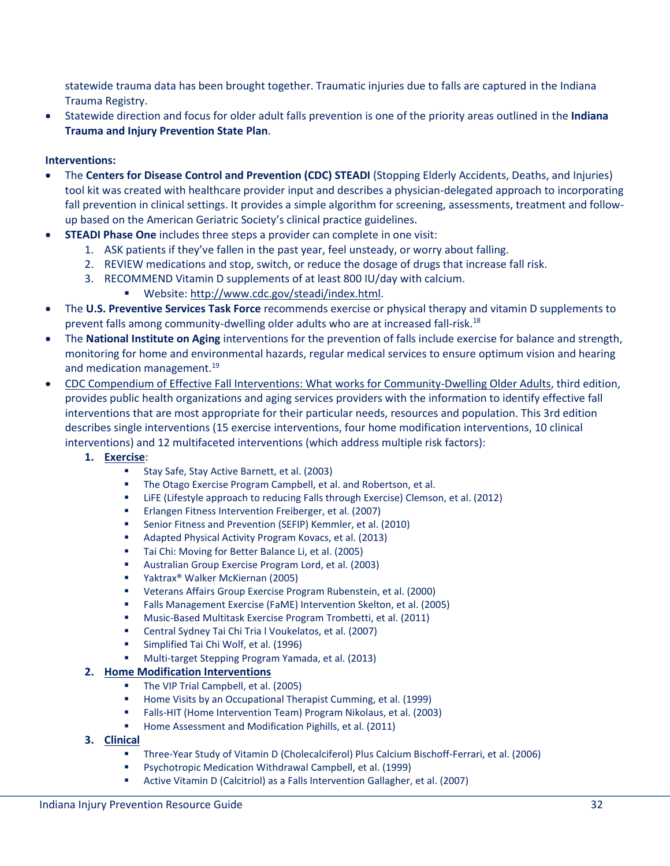statewide trauma data has been brought together. Traumatic injuries due to falls are captured in the Indiana Trauma Registry.

 Statewide direction and focus for older adult falls prevention is one of the priority areas outlined in the **Indiana Trauma and Injury Prevention State Plan**.

## **Interventions:**

- The **Centers for Disease Control and Prevention (CDC) STEADI** (Stopping Elderly Accidents, Deaths, and Injuries) tool kit was created with healthcare provider input and describes a physician-delegated approach to incorporating fall prevention in clinical settings. It provides a simple algorithm for screening, assessments, treatment and followup based on the American Geriatric Society's clinical practice guidelines.
- **STEADI Phase One** includes three steps a provider can complete in one visit:
	- 1. ASK patients if they've fallen in the past year, feel unsteady, or worry about falling.
	- 2. REVIEW medications and stop, switch, or reduce the dosage of drugs that increase fall risk.
	- 3. RECOMMEND Vitamin D supplements of at least 800 IU/day with calcium.
		- Website: [http://www.cdc.gov/steadi/index.html.](http://www.cdc.gov/steadi/index.html)
- The **U.S. Preventive Services Task Force** recommends exercise or physical therapy and vitamin D supplements to prevent falls among community-dwelling older adults who are at increased fall-risk.<sup>18</sup>
- The **National Institute on Aging** interventions for the prevention of falls include exercise for balance and strength, monitoring for home and environmental hazards, regular medical services to ensure optimum vision and hearing and medication management.<sup>19</sup>
- CDC [Compendium of Effective Fall Interventions: What works for Community-Dwelling Older Adults,](http://www.cdc.gov/HomeandRecreationalSafety/Falls/compendium.html) third edition, provides public health organizations and aging services providers with the information to identify effective fall interventions that are most appropriate for their particular needs, resources and population. This 3rd edition describes single interventions (15 exercise interventions, four home modification interventions, 10 clinical interventions) and 12 multifaceted interventions (which address multiple risk factors):
	- **1. [Exercise](http://www.cdc.gov/homeandrecreationalsafety/pdf/CDC_Falls_Compendium-2015-a.pdf#nameddest=p12)**:
		- Stay Safe, Stay Active Barnett, et al. (2003)
		- **The Otago Exercise Program Campbell, et al. and Robertson, et al.**
		- LiFE (Lifestyle approach to reducing Falls through Exercise) Clemson, et al. (2012)
		- Erlangen Fitness Intervention Freiberger, et al. (2007)
		- Senior Fitness and Prevention (SEFIP) Kemmler, et al. (2010)
		- Adapted Physical Activity Program Kovacs, et al. (2013)
		- Tai Chi: Moving for Better Balance Li, et al. (2005)
		- Australian Group Exercise Program Lord, et al. (2003)
		- Yaktrax® Walker McKiernan (2005)
		- Veterans Affairs Group Exercise Program Rubenstein, et al. (2000)
		- Falls Management Exercise (FaME) Intervention Skelton, et al. (2005)
		- Music-Based Multitask Exercise Program Trombetti, et al. (2011)
		- Central Sydney Tai Chi Tria l Voukelatos, et al. (2007)
		- Simplified Tai Chi Wolf, et al. (1996)
		- Multi-target Stepping Program Yamada, et al. (2013)

## **2. [Home Modification Interventions](http://www.cdc.gov/homeandrecreationalsafety/pdf/CDC_Falls_Compendium-2015-a.pdf#nameddest=p62)**

- The VIP Trial Campbell, et al. (2005)
- Home Visits by an Occupational Therapist Cumming, et al. (1999)
- Falls-HIT (Home Intervention Team) Program Nikolaus, et al. (2003)
- Home Assessment and Modification Pighills, et al. (2011)
- **3. [Clinical](http://www.cdc.gov/homeandrecreationalsafety/pdf/CDC_Falls_Compendium-2015-a.pdf#nameddest=clinical)**
	- Three-Year Study of Vitamin D (Cholecalciferol) Plus Calcium Bischoff-Ferrari, et al. (2006)
	- Psychotropic Medication Withdrawal Campbell, et al. (1999)
	- Active Vitamin D (Calcitriol) as a Falls Intervention Gallagher, et al. (2007)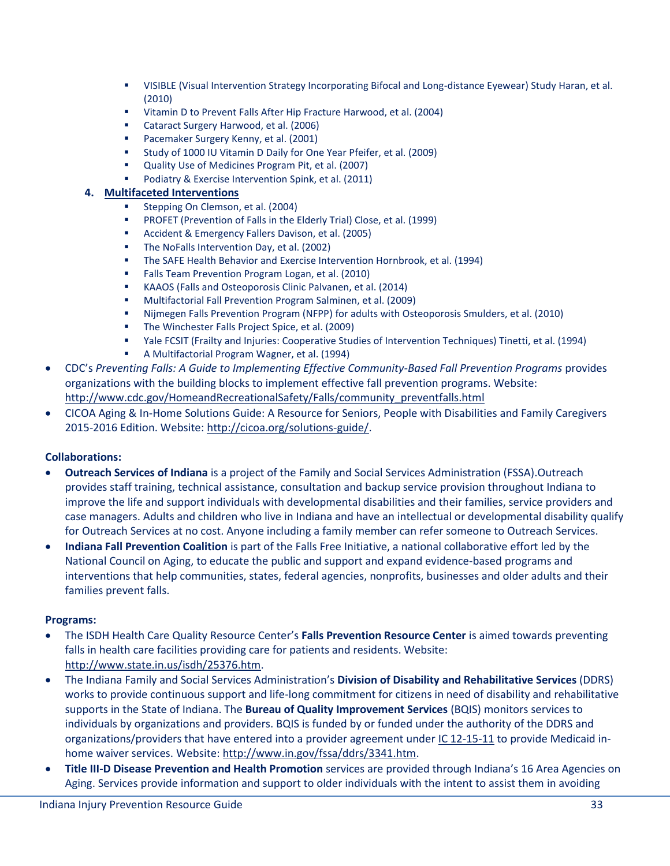- VISIBLE (Visual Intervention Strategy Incorporating Bifocal and Long-distance Eyewear) Study Haran, et al. (2010)
- Vitamin D to Prevent Falls After Hip Fracture Harwood, et al. (2004)
- Cataract Surgery Harwood, et al. (2006)
- Pacemaker Surgery Kenny, et al. (2001)
- Study of 1000 IU Vitamin D Daily for One Year Pfeifer, et al. (2009)
- Quality Use of Medicines Program Pit, et al. (2007)
- Podiatry & Exercise Intervention Spink, et al. (2011)

## **4. [Multifaceted Interventions](http://www.cdc.gov/homeandrecreationalsafety/pdf/CDC_Falls_Compendium-2015-a.pdf#nameddest=multifaceted)**

- Stepping On Clemson, et al. (2004)
- PROFET (Prevention of Falls in the Elderly Trial) Close, et al. (1999)
- **Accident & Emergency Fallers Davison, et al. (2005)**
- **The NoFalls Intervention Day, et al. (2002)**
- The SAFE Health Behavior and Exercise Intervention Hornbrook, et al. (1994)
- **Falls Team Prevention Program Logan, et al. (2010)**
- KAAOS (Falls and Osteoporosis Clinic Palvanen, et al. (2014)
- Multifactorial Fall Prevention Program Salminen, et al. (2009)
- Nijmegen Falls Prevention Program (NFPP) for adults with Osteoporosis Smulders, et al. (2010)
- The Winchester Falls Project Spice, et al. (2009)
- Yale FCSIT (Frailty and Injuries: Cooperative Studies of Intervention Techniques) Tinetti, et al. (1994)
- A Multifactorial Program Wagner, et al. (1994)
- CDC's *Preventing Falls: A Guide to Implementing Effective Community-Based Fall Prevention Programs* provides organizations with the building blocks to implement effective fall prevention programs. Website: [http://www.cdc.gov/HomeandRecreationalSafety/Falls/community\\_preventfalls.html](http://www.cdc.gov/HomeandRecreationalSafety/Falls/community_preventfalls.html)
- CICOA Aging & In-Home Solutions Guide: A Resource for Seniors, People with Disabilities and Family Caregivers 2015-2016 Edition. Website: [http://cicoa.org/solutions-guide/.](http://cicoa.org/solutions-guide/)

# **Collaborations:**

- **Outreach Services of Indiana** is a project of the Family and Social Services Administration (FSSA).Outreach provides staff training, technical assistance, consultation and backup service provision throughout Indiana to improve the life and support individuals with developmental disabilities and their families, service providers and case managers. Adults and children who live in Indiana and have an intellectual or developmental disability qualify for Outreach Services at no cost. Anyone including a family member can refer someone to Outreach Services.
- **Indiana Fall Prevention Coalition** is part of the Falls Free Initiative, a national collaborative effort led by the National Council on Aging, to educate the public and support and expand evidence-based programs and interventions that help communities, states, federal agencies, nonprofits, businesses and older adults and their families prevent falls.

## **Programs:**

- The ISDH Health Care Quality Resource Center's **Falls Prevention Resource Center** is aimed towards preventing falls in health care facilities providing care for patients and residents. Website: [http://www.state.in.us/isdh/25376.htm.](http://www.state.in.us/isdh/25376.htm)
- The Indiana Family and Social Services Administration's **Division of Disability and Rehabilitative Services** (DDRS) works to provide continuous support and life-long commitment for citizens in need of disability and rehabilitative supports in the State of Indiana. The **Bureau of Quality Improvement Services** (BQIS) monitors services to individuals by organizations and providers. BQIS is funded by or funded under the authority of the DDRS and organizations/providers that have entered into a provider agreement unde[r IC 12-15-11](http://iga.in.gov/legislative/laws/2016/ic/titles/012/articles/015/chapters/011/) to provide Medicaid inhome waiver services. Website: [http://www.in.gov/fssa/ddrs/3341.htm.](http://www.in.gov/fssa/ddrs/3341.htm)
- **Title III-D Disease Prevention and Health Promotion** services are provided through Indiana's 16 Area Agencies on Aging. Services provide information and support to older individuals with the intent to assist them in avoiding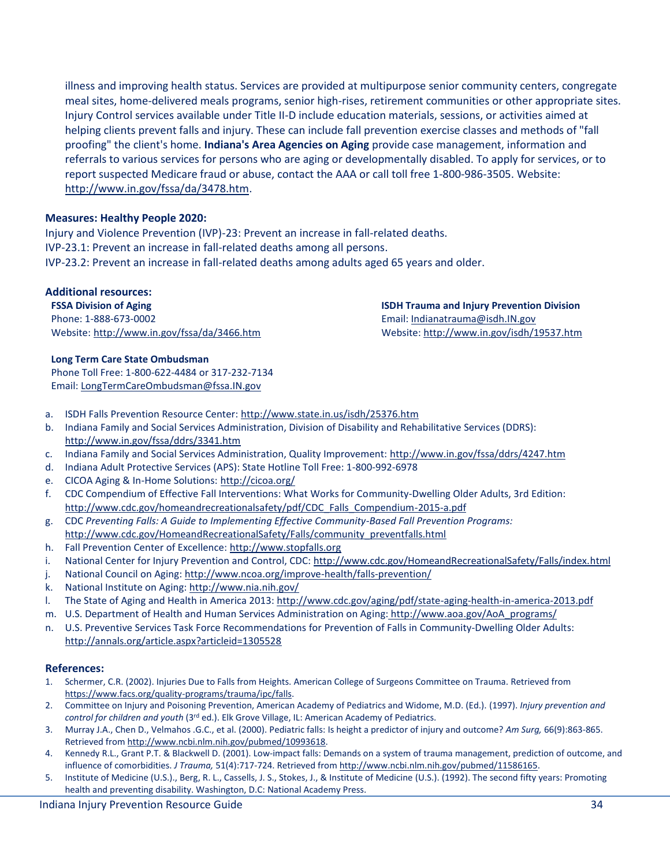illness and improving health status. Services are provided at multipurpose senior community centers, congregate meal sites, home-delivered meals programs, senior high-rises, retirement communities or other appropriate sites. Injury Control services available under Title II-D include education materials, sessions, or activities aimed at helping clients prevent falls and injury. These can include fall prevention exercise classes and methods of "fall proofing" the client's home. **Indiana's Area Agencies on Aging** provide case management, information and referrals to various services for persons who are aging or developmentally disabled. To apply for services, or to report suspected Medicare fraud or abuse, contact the AAA or call toll free 1-800-986-3505. Website: [http://www.in.gov/fssa/da/3478.htm.](http://www.in.gov/fssa/da/3478.htm)

### **Measures: Healthy People 2020:**

Injury and Violence Prevention (IVP)-23: Prevent an increase in fall-related deaths. IVP-23.1: Prevent an increase in fall-related deaths among all persons. IVP-23.2: Prevent an increase in fall-related deaths among adults aged 65 years and older.

### **Additional resources:**

**FSSA Division of Aging**  Phone: 1-888-673-0002 Website: <http://www.in.gov/fssa/da/3466.htm>

#### **Long Term Care State Ombudsman**

Phone Toll Free: 1-800-622-4484 or 317-232-7134 Email: [LongTermCareOmbudsman@fssa.IN.gov](mailto:LongTermCareOmbudsman@fssa.IN.gov)

- a. ISDH Falls Prevention Resource Center:<http://www.state.in.us/isdh/25376.htm>
- b. Indiana Family and Social Services Administration, Division of Disability and Rehabilitative Services (DDRS): <http://www.in.gov/fssa/ddrs/3341.htm>
- c. Indiana Family and Social Services Administration, Quality Improvement:<http://www.in.gov/fssa/ddrs/4247.htm>
- d. Indiana Adult Protective Services (APS): State Hotline Toll Free: 1-800-992-6978
- e. CICOA Aging & In-Home Solutions: <http://cicoa.org/>
- f. CDC Compendium of Effective Fall Interventions: What Works for Community-Dwelling Older Adults, 3rd Edition: [http://www.cdc.gov/homeandrecreationalsafety/pdf/CDC\\_Falls\\_Compendium-2015-a.pdf](http://www.cdc.gov/homeandrecreationalsafety/pdf/CDC_Falls_Compendium-2015-a.pdf)
- g. CDC *Preventing Falls: A Guide to Implementing Effective Community-Based Fall Prevention Programs:* [http://www.cdc.gov/HomeandRecreationalSafety/Falls/community\\_preventfalls.html](http://www.cdc.gov/HomeandRecreationalSafety/Falls/community_preventfalls.html)
- h. Fall Prevention Center of Excellence: [http://www.stopfalls.org](http://www.stopfalls.org/)
- i. National Center for Injury Prevention and Control, CDC[: http://www.cdc.gov/HomeandRecreationalSafety/Falls/index.html](http://www.cdc.gov/HomeandRecreationalSafety/Falls/index.html)
- j. National Council on Aging:<http://www.ncoa.org/improve-health/falls-prevention/>
- k. National Institute on Aging:<http://www.nia.nih.gov/>
- l. The State of Aging and Health in America 2013: <http://www.cdc.gov/aging/pdf/state-aging-health-in-america-2013.pdf>
- m. U.S. Department of Health and Human Services Administration on Aging: [http://www.aoa.gov/AoA\\_programs/](http://www.aoa.gov/AoA_programs/)
- n. U.S. Preventive Services Task Force Recommendations for Prevention of Falls in Community-Dwelling Older Adults: <http://annals.org/article.aspx?articleid=1305528>

#### **References:**

- 1. Schermer, C.R. (2002). Injuries Due to Falls from Heights. American College of Surgeons Committee on Trauma. Retrieved from [https://www.facs.org/quality-programs/trauma/ipc/falls.](https://www.facs.org/quality-programs/trauma/ipc/falls)
- 2. Committee on Injury and Poisoning Prevention, American Academy of Pediatrics and Widome, M.D. (Ed.). (1997). *Injury prevention and control for children and youth* (3rd ed.). Elk Grove Village, IL: American Academy of Pediatrics.
- 3. Murray J.A., Chen D., Velmahos .G.C., et al. (2000). Pediatric falls: Is height a predictor of injury and outcome? *Am Surg,* 66(9):863-865. Retrieved from [http://www.ncbi.nlm.nih.gov/pubmed/10993618.](http://www.ncbi.nlm.nih.gov/pubmed/10993618)
- 4. Kennedy R.L., Grant P.T. & Blackwell D. (2001). Low-impact falls: Demands on a system of trauma management, prediction of outcome, and influence of comorbidities. *J Trauma,* 51(4):717-724. Retrieved fro[m http://www.ncbi.nlm.nih.gov/pubmed/11586165.](http://www.ncbi.nlm.nih.gov/pubmed/11586165)
- 5. Institute of Medicine (U.S.)., Berg, R. L., Cassells, J. S., Stokes, J., & Institute of Medicine (U.S.). (1992). The second fifty years: Promoting health and preventing disability. Washington, D.C: National Academy Press.

**ISDH Trauma and Injury Prevention Division**  Email[: Indianatrauma@isdh.IN.gov](mailto:Indianatrauma@isdh.IN.gov) Website:<http://www.in.gov/isdh/19537.htm>